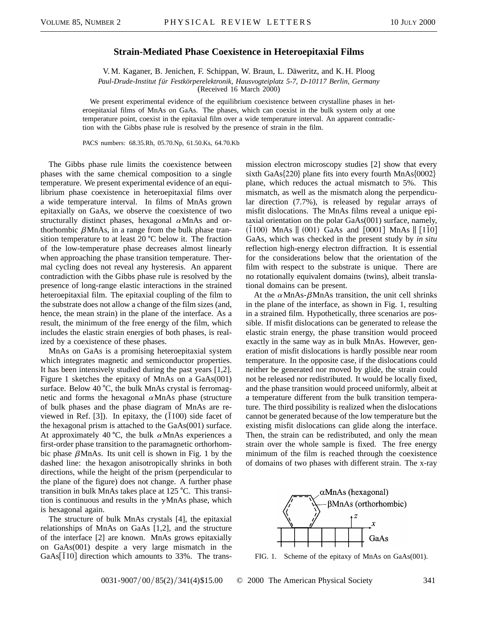## **Strain-Mediated Phase Coexistence in Heteroepitaxial Films**

V. M. Kaganer, B. Jenichen, F. Schippan, W. Braun, L. Däweritz, and K. H. Ploog *Paul-Drude-Institut für Festkörperelektronik, Hausvogteiplatz 5-7, D-10117 Berlin, Germany* (Received 16 March 2000)

We present experimental evidence of the equilibrium coexistence between crystalline phases in heteroepitaxial films of MnAs on GaAs. The phases, which can coexist in the bulk system only at one temperature point, coexist in the epitaxial film over a wide temperature interval. An apparent contradiction with the Gibbs phase rule is resolved by the presence of strain in the film.

PACS numbers: 68.35.Rh, 05.70.Np, 61.50.Ks, 64.70.Kb

The Gibbs phase rule limits the coexistence between phases with the same chemical composition to a single temperature. We present experimental evidence of an equilibrium phase coexistence in heteroepitaxial films over a wide temperature interval. In films of MnAs grown epitaxially on GaAs, we observe the coexistence of two structurally distinct phases, hexagonal  $\alpha$ MnAs and orthorhombic  $\beta$ MnAs, in a range from the bulk phase transition temperature to at least  $20 \degree C$  below it. The fraction of the low-temperature phase decreases almost linearly when approaching the phase transition temperature. Thermal cycling does not reveal any hysteresis. An apparent contradiction with the Gibbs phase rule is resolved by the presence of long-range elastic interactions in the strained heteroepitaxial film. The epitaxial coupling of the film to the substrate does not allow a change of the film sizes (and, hence, the mean strain) in the plane of the interface. As a result, the minimum of the free energy of the film, which includes the elastic strain energies of both phases, is realized by a coexistence of these phases.

MnAs on GaAs is a promising heteroepitaxial system which integrates magnetic and semiconductor properties. It has been intensively studied during the past years [1,2]. Figure 1 sketches the epitaxy of MnAs on a GaAs(001) surface. Below  $40 \degree C$ , the bulk MnAs crystal is ferromagnetic and forms the hexagonal  $\alpha$ MnAs phase (structure of bulk phases and the phase diagram of MnAs are reviewed in Ref. [3]). In epitaxy, the  $(1100)$  side facet of the hexagonal prism is attached to the GaAs(001) surface. At approximately 40 °C, the bulk  $\alpha$ MnAs experiences a first-order phase transition to the paramagnetic orthorhombic phase  $\beta$ MnAs. Its unit cell is shown in Fig. 1 by the dashed line: the hexagon anisotropically shrinks in both directions, while the height of the prism (perpendicular to the plane of the figure) does not change. A further phase transition in bulk MnAs takes place at  $125 \text{ °C}$ . This transition is continuous and results in the  $\gamma$ MnAs phase, which is hexagonal again.

The structure of bulk MnAs crystals [4], the epitaxial relationships of MnAs on GaAs [1,2], and the structure of the interface [2] are known. MnAs grows epitaxially on GaAs(001) despite a very large mismatch in the  $GaAs[110]$  direction which amounts to 33%. The transmission electron microscopy studies [2] show that every sixth GaAs{220} plane fits into every fourth MnAs{0002} plane, which reduces the actual mismatch to 5%. This mismatch, as well as the mismatch along the perpendicular direction (7.7%), is released by regular arrays of misfit dislocations. The MnAs films reveal a unique epitaxial orientation on the polar GaAs(001) surface, namely,  $(1100)$  MnAs  $\parallel$   $(001)$  GaAs and  $[0001]$  MnAs  $\parallel$   $[1\bar{1}0]$ GaAs, which was checked in the present study by *in situ* reflection high-energy electron diffraction. It is essential for the considerations below that the orientation of the film with respect to the substrate is unique. There are no rotationally equivalent domains (twins), albeit translational domains can be present.

At the  $\alpha$ MnAs- $\beta$ MnAs transition, the unit cell shrinks in the plane of the interface, as shown in Fig. 1, resulting in a strained film. Hypothetically, three scenarios are possible. If misfit dislocations can be generated to release the elastic strain energy, the phase transition would proceed exactly in the same way as in bulk MnAs. However, generation of misfit dislocations is hardly possible near room temperature. In the opposite case, if the dislocations could neither be generated nor moved by glide, the strain could not be released nor redistributed. It would be locally fixed, and the phase transition would proceed uniformly, albeit at a temperature different from the bulk transition temperature. The third possibility is realized when the dislocations cannot be generated because of the low temperature but the existing misfit dislocations can glide along the interface. Then, the strain can be redistributed, and only the mean strain over the whole sample is fixed. The free energy minimum of the film is reached through the coexistence of domains of two phases with different strain. The x-ray



FIG. 1. Scheme of the epitaxy of MnAs on GaAs(001).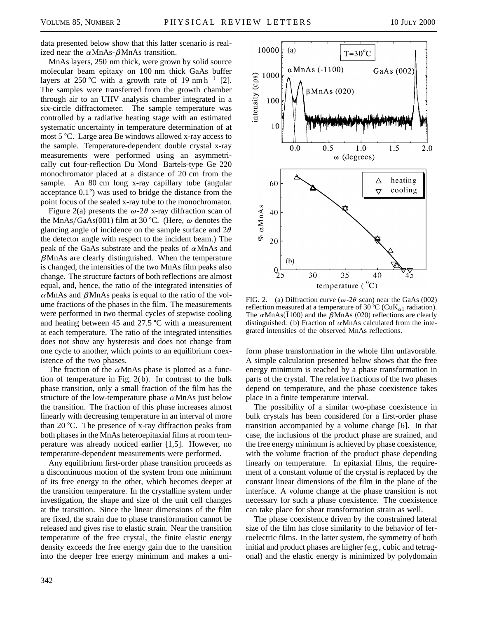data presented below show that this latter scenario is realized near the  $\alpha$ MnAs- $\beta$ MnAs transition.

MnAs layers, 250 nm thick, were grown by solid source molecular beam epitaxy on 100 nm thick GaAs buffer layers at 250 °C with a growth rate of 19 nm h<sup>-1</sup> [2]. The samples were transferred from the growth chamber through air to an UHV analysis chamber integrated in a six-circle diffractometer. The sample temperature was controlled by a radiative heating stage with an estimated systematic uncertainty in temperature determination of at most 5 °C. Large area Be windows allowed x-ray access to the sample. Temperature-dependent double crystal x-ray measurements were performed using an asymmetrically cut four-reflection Du Mond–Bartels-type Ge 220 monochromator placed at a distance of 20 cm from the sample. An 80 cm long x-ray capillary tube (angular acceptance  $0.1^{\circ}$ ) was used to bridge the distance from the point focus of the sealed x-ray tube to the monochromator.

Figure 2(a) presents the  $\omega$ -2 $\theta$  x-ray diffraction scan of the MnAs/GaAs(001) film at 30 °C. (Here,  $\omega$  denotes the glancing angle of incidence on the sample surface and  $2\theta$ the detector angle with respect to the incident beam.) The peak of the GaAs substrate and the peaks of  $\alpha$ MnAs and  $\beta$ MnAs are clearly distinguished. When the temperature is changed, the intensities of the two MnAs film peaks also change. The structure factors of both reflections are almost equal, and, hence, the ratio of the integrated intensities of  $\alpha$ MnAs and  $\beta$ MnAs peaks is equal to the ratio of the volume fractions of the phases in the film. The measurements were performed in two thermal cycles of stepwise cooling and heating between 45 and 27.5  $\degree$ C with a measurement at each temperature. The ratio of the integrated intensities does not show any hysteresis and does not change from one cycle to another, which points to an equilibrium coexistence of the two phases.

The fraction of the  $\alpha$ MnAs phase is plotted as a function of temperature in Fig. 2(b). In contrast to the bulk phase transition, only a small fraction of the film has the structure of the low-temperature phase  $\alpha$ MnAs just below the transition. The fraction of this phase increases almost linearly with decreasing temperature in an interval of more than 20  $^{\circ}$ C. The presence of x-ray diffraction peaks from both phases in the MnAs heteroepitaxial films at room temperature was already noticed earlier [1,5]. However, no temperature-dependent measurements were performed.

Any equilibrium first-order phase transition proceeds as a discontinuous motion of the system from one minimum of its free energy to the other, which becomes deeper at the transition temperature. In the crystalline system under investigation, the shape and size of the unit cell changes at the transition. Since the linear dimensions of the film are fixed, the strain due to phase transformation cannot be released and gives rise to elastic strain. Near the transition temperature of the free crystal, the finite elastic energy density exceeds the free energy gain due to the transition into the deeper free energy minimum and makes a uni-



FIG. 2. (a) Diffraction curve ( $\omega$ -2 $\theta$  scan) near the GaAs (002) reflection measured at a temperature of 30 °C (CuK<sub> $\alpha$ 1</sub> radiation). The  $\alpha$ MnAs(1100) and the  $\beta$ MnAs (020) reflections are clearly distinguished. (b) Fraction of  $\alpha$ MnAs calculated from the integrated intensities of the observed MnAs reflections.

form phase transformation in the whole film unfavorable. A simple calculation presented below shows that the free energy minimum is reached by a phase transformation in parts of the crystal. The relative fractions of the two phases depend on temperature, and the phase coexistence takes place in a finite temperature interval.

The possibility of a similar two-phase coexistence in bulk crystals has been considered for a first-order phase transition accompanied by a volume change [6]. In that case, the inclusions of the product phase are strained, and the free energy minimum is achieved by phase coexistence, with the volume fraction of the product phase depending linearly on temperature. In epitaxial films, the requirement of a constant volume of the crystal is replaced by the constant linear dimensions of the film in the plane of the interface. A volume change at the phase transition is not necessary for such a phase coexistence. The coexistence can take place for shear transformation strain as well.

The phase coexistence driven by the constrained lateral size of the film has close similarity to the behavior of ferroelectric films. In the latter system, the symmetry of both initial and product phases are higher (e.g., cubic and tetragonal) and the elastic energy is minimized by polydomain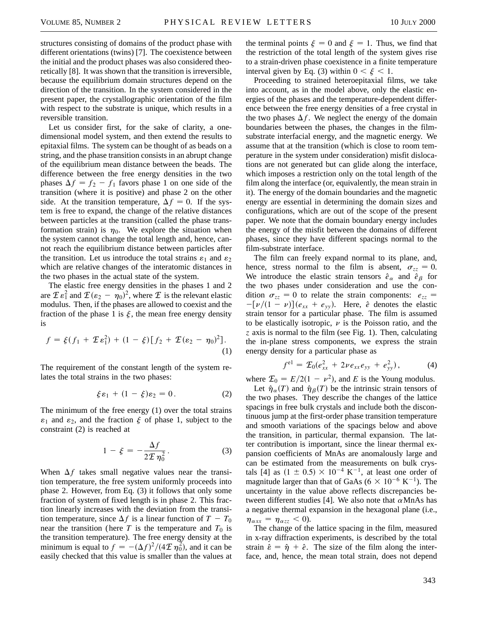structures consisting of domains of the product phase with different orientations (twins) [7]. The coexistence between the initial and the product phases was also considered theoretically [8]. It was shown that the transition is irreversible, because the equilibrium domain structures depend on the direction of the transition. In the system considered in the present paper, the crystallographic orientation of the film with respect to the substrate is unique, which results in a reversible transition.

Let us consider first, for the sake of clarity, a onedimensional model system, and then extend the results to epitaxial films. The system can be thought of as beads on a string, and the phase transition consists in an abrupt change of the equilibrium mean distance between the beads. The difference between the free energy densities in the two phases  $\Delta f = f_2 - f_1$  favors phase 1 on one side of the transition (where it is positive) and phase 2 on the other side. At the transition temperature,  $\Delta f = 0$ . If the system is free to expand, the change of the relative distances between particles at the transition (called the phase transformation strain) is  $\eta_0$ . We explore the situation when the system cannot change the total length and, hence, cannot reach the equilibrium distance between particles after the transition. Let us introduce the total strains  $\varepsilon_1$  and  $\varepsilon_2$ which are relative changes of the interatomic distances in the two phases in the actual state of the system.

The elastic free energy densities in the phases 1 and 2 are  $\mathcal{I} \varepsilon_1^2$  and  $\mathcal{I} (\varepsilon_2 - \eta_0)^2$ , where  $\mathcal I$  is the relevant elastic modulus. Then, if the phases are allowed to coexist and the fraction of the phase 1 is  $\xi$ , the mean free energy density is

$$
f = \xi(f_1 + \mathcal{L}\varepsilon_1^2) + (1 - \xi)[f_2 + \mathcal{L}(\varepsilon_2 - \eta_0)^2].
$$
  
(1)

The requirement of the constant length of the system relates the total strains in the two phases:

$$
\xi \varepsilon_1 + (1 - \xi)\varepsilon_2 = 0. \tag{2}
$$

The minimum of the free energy (1) over the total strains  $\varepsilon_1$  and  $\varepsilon_2$ , and the fraction  $\xi$  of phase 1, subject to the constraint (2) is reached at

$$
1 - \xi = -\frac{\Delta f}{2\mathcal{I}\,\eta_0^2}.\tag{3}
$$

When  $\Delta f$  takes small negative values near the transition temperature, the free system uniformly proceeds into phase 2. However, from Eq. (3) it follows that only some fraction of system of fixed length is in phase 2. This fraction linearly increases with the deviation from the transition temperature, since  $\Delta f$  is a linear function of  $T - T_0$ near the transition (here  $T$  is the temperature and  $T_0$  is the transition temperature). The free energy density at the minimum is equal to  $f = -(\Delta f)^2/(4\mathcal{I}\,\eta_0^2)$ , and it can be easily checked that this value is smaller than the values at the terminal points  $\xi = 0$  and  $\xi = 1$ . Thus, we find that the restriction of the total length of the system gives rise to a strain-driven phase coexistence in a finite temperature interval given by Eq. (3) within  $0 < \xi < 1$ .

Proceeding to strained heteroepitaxial films, we take into account, as in the model above, only the elastic energies of the phases and the temperature-dependent difference between the free energy densities of a free crystal in the two phases  $\Delta f$ . We neglect the energy of the domain boundaries between the phases, the changes in the filmsubstrate interfacial energy, and the magnetic energy. We assume that at the transition (which is close to room temperature in the system under consideration) misfit dislocations are not generated but can glide along the interface, which imposes a restriction only on the total length of the film along the interface (or, equivalently, the mean strain in it). The energy of the domain boundaries and the magnetic energy are essential in determining the domain sizes and configurations, which are out of the scope of the present paper. We note that the domain boundary energy includes the energy of the misfit between the domains of different phases, since they have different spacings normal to the film-substrate interface.

The film can freely expand normal to its plane, and, hence, stress normal to the film is absent,  $\sigma_{zz} = 0$ . We introduce the elastic strain tensors  $\hat{e}_{\alpha}$  and  $\hat{e}_{\beta}$  for the two phases under consideration and use the condition  $\sigma_{zz} = 0$  to relate the strain components:  $e_{zz} =$  $-[p/(1-p)](e_{xx} + e_{yy})$ . Here, *ê* denotes the elastic strain tensor for a particular phase. The film is assumed to be elastically isotropic,  $\nu$  is the Poisson ratio, and the *z* axis is normal to the film (see Fig. 1). Then, calculating the in-plane stress components, we express the strain energy density for a particular phase as

$$
fel = \mathcal{L}_0(e_{xx}^2 + 2\nu e_{xx}e_{yy} + e_{yy}^2), \qquad (4)
$$

where  $\mathcal{E}_0 = E/2(1 - \nu^2)$ , and *E* is the Young modulus.

Let  $\hat{\eta}_{\alpha}(T)$  and  $\hat{\eta}_{\beta}(T)$  be the intrinsic strain tensors of the two phases. They describe the changes of the lattice spacings in free bulk crystals and include both the discontinuous jump at the first-order phase transition temperature and smooth variations of the spacings below and above the transition, in particular, thermal expansion. The latter contribution is important, since the linear thermal expansion coefficients of MnAs are anomalously large and can be estimated from the measurements on bulk crystals [4] as  $(1 \pm 0.5) \times 10^{-4}$  K<sup>-1</sup>, at least one order of magnitude larger than that of GaAs ( $6 \times 10^{-6}$  K<sup>-1</sup>). The uncertainty in the value above reflects discrepancies between different studies [4]. We also note that  $\alpha$  MnAs has a negative thermal expansion in the hexagonal plane (i.e.,  $\eta_{\alpha xx} = \eta_{\alpha zz} < 0$ ).

The change of the lattice spacing in the film, measured in x-ray diffraction experiments, is described by the total strain  $\hat{\varepsilon} = \hat{\eta} + \hat{e}$ . The size of the film along the interface, and, hence, the mean total strain, does not depend